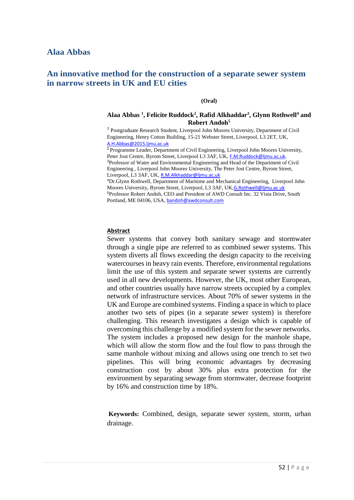# **An innovative method for the construction of a separate sewer system in narrow streets in UK and EU cities**

#### **(Oral)**

#### **Alaa Abbas <sup>1</sup> , Felicite Ruddock<sup>2</sup> , Rafid Alkhaddar<sup>3</sup> , Glynn Rothwell<sup>4</sup> and Robert Andoh<sup>5</sup>**

<sup>1</sup> Postgraduate Research Student, Liverpool John Moores University, Department of Civil Engineering, Henry Cotton Building, 15-21 Webster Street, Liverpool, L3 2ET, UK, [A.H.Abbas@2015.ljmu.ac.uk](mailto:A.H.Abbas@2015.ljmu.ac.uk)

<sup>2</sup> Programme Leader, Department of Civil Engineering, Liverpool John Moores University, Peter Jost Centre, Byrom Street, Liverpool L3 3AF, UK, [F.M.Ruddock@ljmu.ac.uk](mailto:F.M.Ruddock@ljmu.ac.uk). <sup>3</sup>Professor of Water and Environmental Engineering and Head of the Department of Civil Engineering , Liverpool John Moores University, The Peter Jost Centre, Byrom Street, Liverpool, L3 3AF, UK, [R.M.Alkhaddar@ljmu.ac.uk](mailto:R.M.Alkhaddar@ljmu.ac.uk)

<sup>4</sup>Dr.Glynn Rothwell, Department of Maritime and Mechanical Engineering, Liverpool John Moores University, Byrom Street, Liverpool, L3 3AF, UK, [G.Rothwell@ljmu.ac.uk](mailto:G.Rothwell@ljmu.ac.uk) <sup>5</sup>Professor Robert Andoh, CEO and President of AWD Consult Inc. 32 Vista Drive, South Portland, ME 04106, USA, [bandoh@awdconsult.com](mailto:bandoh@awdconsult.com)

#### **Abstract**

Sewer systems that convey both sanitary sewage and stormwater through a single pipe are referred to as combined sewer systems. This system diverts all flows exceeding the design capacity to the receiving watercourses in heavy rain events. Therefore, environmental regulations limit the use of this system and separate sewer systems are currently used in all new developments. However, the UK, most other European, and other countries usually have narrow streets occupied by a complex network of infrastructure services. About 70% of sewer systems in the UK and Europe are combined systems. Finding a space in which to place another two sets of pipes (in a separate sewer system) is therefore challenging. This research investigates a design which is capable of overcoming this challenge by a modified system for the sewer networks. The system includes a proposed new design for the manhole shape, which will allow the storm flow and the foul flow to pass through the same manhole without mixing and allows using one trench to set two pipelines. This will bring economic advantages by decreasing construction cost by about 30% plus extra protection for the environment by separating sewage from stormwater, decrease footprint by 16% and construction time by 18%.

**Keywords:** Combined, design, separate sewer system, storm, urban drainage.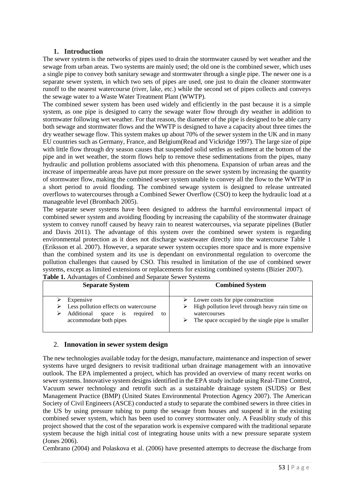# **1. Introduction**

The sewer system is the networks of pipes used to drain the stormwater caused by wet weather and the sewage from urban areas. Two systems are mainly used; the old one is the combined sewer, which uses a single pipe to convey both sanitary sewage and stormwater through a single pipe. The newer one is a separate sewer system, in which two sets of pipes are used, one just to drain the cleaner stormwater runoff to the nearest watercourse (river, lake, etc.) while the second set of pipes collects and conveys the sewage water to a Waste Water Treatment Plant (WWTP).

The combined sewer system has been used widely and efficiently in the past because it is a simple system, as one pipe is designed to carry the sewage water flow through dry weather in addition to stormwater following wet weather. For that reason, the diameter of the pipe is designed to be able carry both sewage and stormwater flows and the WWTP is designed to have a capacity about three times the dry weather sewage flow. This system makes up about 70% of the sewer system in the UK and in many EU countries such as Germany, France, and Belgium(Read and Vickridge 1997). The large size of pipe with little flow through dry season causes that suspended solid settles as sediment at the bottom of the pipe and in wet weather, the storm flows help to remove these sedimentations from the pipes, many hydraulic and pollution problems associated with this phenomena. Expansion of urban areas and the increase of impermeable areas have put more pressure on the sewer system by increasing the quantity of stormwater flow, making the combined sewer system unable to convey all the flow to the WWTP in a short period to avoid flooding. The combined sewage system is designed to release untreated overflows to watercourses through a Combined Sewer Overflow (CSO) to keep the hydraulic load at a manageable level (Brombach 2005).

The separate sewer systems have been designed to address the harmful environmental impact of combined sewer system and avoiding flooding by increasing the capability of the stormwater drainage system to convey runoff caused by heavy rain to nearest watercourses, via separate pipelines (Butler and Davis 2011). The advantage of this system over the combined sewer system is regarding environmental protection as it does not discharge wastewater directly into the watercourse Table 1 (Eriksson et al. 2007). However, a separate sewer system occupies more space and is more expensive than the combined system and its use is dependant on environmental regulation to overcome the pollution challenges that caused by CSO. This resulted in limitation of the use of combined sewer systems, except as limited extensions or replacements for existing combined systems (Bizier 2007).

| <b>Separate System</b>                                                                                                                  | <b>Combined System</b>                                                                                                                                                    |
|-----------------------------------------------------------------------------------------------------------------------------------------|---------------------------------------------------------------------------------------------------------------------------------------------------------------------------|
| Expensive<br>Less pollution effects on watercourse<br>⋗<br>Additional<br>required<br>space<br><b>1S</b><br>to<br>accommodate both pipes | Lower costs for pipe construction<br>$\triangleright$ High pollution level through heavy rain time on<br>watercourses<br>The space occupied by the single pipe is smaller |

**Table 1.** Advantages of Combined and Separate Sewer Systems

#### 2. **Innovation in sewer system design**

The new technologies available today for the design, manufacture, maintenance and inspection of sewer systems have urged designers to revisit traditional urban drainage management with an innovative outlook. The EPA implemented a project, which has provided an overview of many recent works on sewer systems. Innovative system designs identified in the EPA study include using Real-Time Control, Vacuum sewer technology and retrofit such as a sustainable drainage system (SUDS) or Best Management Practice (BMP) (United States Environmental Protection Agency 2007). The American Society of Civil Engineers (ASCE) conducted a study to separate the combined sewers in three cities in the US by using pressure tubing to pump the sewage from houses and suspend it in the existing combined sewer system, which has been used to convey stormwater only. A Feasiblity study of this project showed that the cost of the separation work is expensive compared with the traditional separate system because the high initial cost of integrating house units with a new pressure separate system (Jones 2006).

Cembrano (2004) and Polaskova et al. (2006) have presented attempts to decrease the discharge from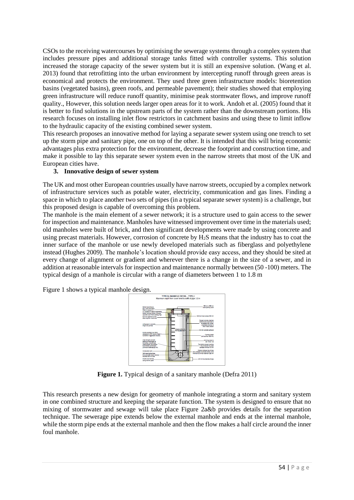CSOs to the receiving watercourses by optimising the sewerage systems through a complex system that includes pressure pipes and additional storage tanks fitted with controller systems. This solution increased the storage capacity of the sewer system but it is still an expensive solution. (Wang et al. 2013) found that retrofitting into the urban environment by intercepting runoff through green areas is economical and protects the environment. They used three green infrastructure models: bioretention basins (vegetated basins), green roofs, and permeable pavement); their studies showed that employing green infrastructure will reduce runoff quantity, minimise peak stormwater flows, and improve runoff quality., However, this solution needs larger open areas for it to work. Andoh et al. (2005) found that it is better to find solutions in the upstream parts of the system rather than the downstream portions. His research focuses on installing inlet flow restrictors in catchment basins and using these to limit inflow to the hydraulic capacity of the existing combined sewer system.

This research proposes an innovative method for laying a separate sewer system using one trench to set up the storm pipe and sanitary pipe, one on top of the other. It is intended that this will bring economic advantages plus extra protection for the environment, decrease the footprint and construction time, and make it possible to lay this separate sewer system even in the narrow streets that most of the UK and European cities have.

# **3. Innovative design of sewer system**

The UK and most other European countries usually have narrow streets, occupied by a complex network of infrastructure services such as potable water, electricity, communication and gas lines. Finding a space in which to place another two sets of pipes (in a typical separate sewer system) is a challenge, but this proposed design is capable of overcoming this problem.

The manhole is the main element of a sewer network; it is a structure used to gain access to the sewer for inspection and maintenance. Manholes have witnessed improvement over time in the materials used; old manholes were built of brick, and then significant developments were made by using concrete and using precast materials. However, corrosion of concrete by  $H_2S$  means that the industry has to coat the inner surface of the manhole or use newly developed materials such as fiberglass and polyethylene instead (Hughes 2009). The manhole's location should provide easy access, and they should be sited at every change of alignment or gradient and wherever there is a change in the size of a sewer, and in addition at reasonable intervals for inspection and maintenance normally between (50 -100) meters. The typical design of a manhole is circular with a range of diameters between 1 to 1.8 m

Figure 1 shows a typical manhole design.



**Figure 1.** Typical design of a sanitary manhole (Defra 2011)

This research presents a new design for geometry of manhole integrating a storm and sanitary system in one combined structure and keeping the separate function. The system is designed to ensure that no mixing of stormwater and sewage will take place Figure 2a&b provides details for the separation technique. The sewerage pipe extends below the external manhole and ends at the internal manhole, while the storm pipe ends at the external manhole and then the flow makes a half circle around the inner foul manhole.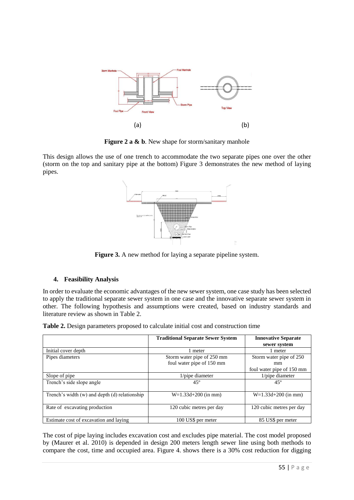

**Figure 2 a & b.** New shape for storm/sanitary manhole

This design allows the use of one trench to accommodate the two separate pipes one over the other (storm on the top and sanitary pipe at the bottom) Figure 3 demonstrates the new method of laying pipes.



**Figure 3.** A new method for laying a separate pipeline system.

# **4. Feasibility Analysis**

In order to evaluate the economic advantages of the new sewer system, one case study has been selected to apply the traditional separate sewer system in one case and the innovative separate sewer system in other. The following hypothesis and assumptions were created, based on industry standards and literature review as shown in Table 2.

| Table 2. Design parameters proposed to calculate initial cost and construction time |  |  |  |  |  |  |  |
|-------------------------------------------------------------------------------------|--|--|--|--|--|--|--|
|-------------------------------------------------------------------------------------|--|--|--|--|--|--|--|

|                                                   | <b>Traditional Separate Sewer System</b> | <b>Innovative Separate</b><br>sewer system |
|---------------------------------------------------|------------------------------------------|--------------------------------------------|
| Initial cover depth                               | 1 meter                                  | 1 meter                                    |
| Pipes diameters                                   | Storm water pipe of 250 mm               | Storm water pipe of 250                    |
|                                                   | foul water pipe of 150 mm                | mm                                         |
|                                                   |                                          | foul water pipe of 150 mm                  |
| Slope of pipe                                     | 1/pipe diameter                          | $1$ /pipe diameter                         |
| Trench's side slope angle                         | $45^\circ$                               | $45^{\circ}$                               |
| Trench's width $(w)$ and depth $(d)$ relationship | $W=1.33d+200$ (in mm)                    | $W=1.33d+200$ (in mm)                      |
| Rate of excavating production                     | 120 cubic metres per day                 | 120 cubic metres per day                   |
| Estimate cost of excavation and laying            | 100 US\$ per meter                       | 85 US\$ per meter                          |

The cost of pipe laying includes excavation cost and excludes pipe material. The cost model proposed by (Maurer et al. 2010) is depended in design 200 meters length sewer line using both methods to compare the cost, time and occupied area. Figure 4. shows there is a 30% cost reduction for digging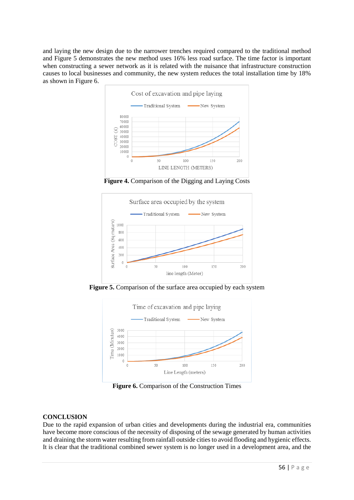and laying the new design due to the narrower trenches required compared to the traditional method and Figure 5 demonstrates the new method uses 16% less road surface. The time factor is important when constructing a sewer network as it is related with the nuisance that infrastructure construction causes to local businesses and community, the new system reduces the total installation time by 18% as shown in Figure 6.



**Figure 4.** Comparison of the Digging and Laying Costs



**Figure 5.** Comparison of the surface area occupied by each system



**Figure 6.** Comparison of the Construction Times

# **CONCLUSION**

Due to the rapid expansion of urban cities and developments during the industrial era, communities have become more conscious of the necessity of disposing of the sewage generated by human activities and draining the storm water resulting from rainfall outside cities to avoid flooding and hygienic effects. It is clear that the traditional combined sewer system is no longer used in a development area, and the